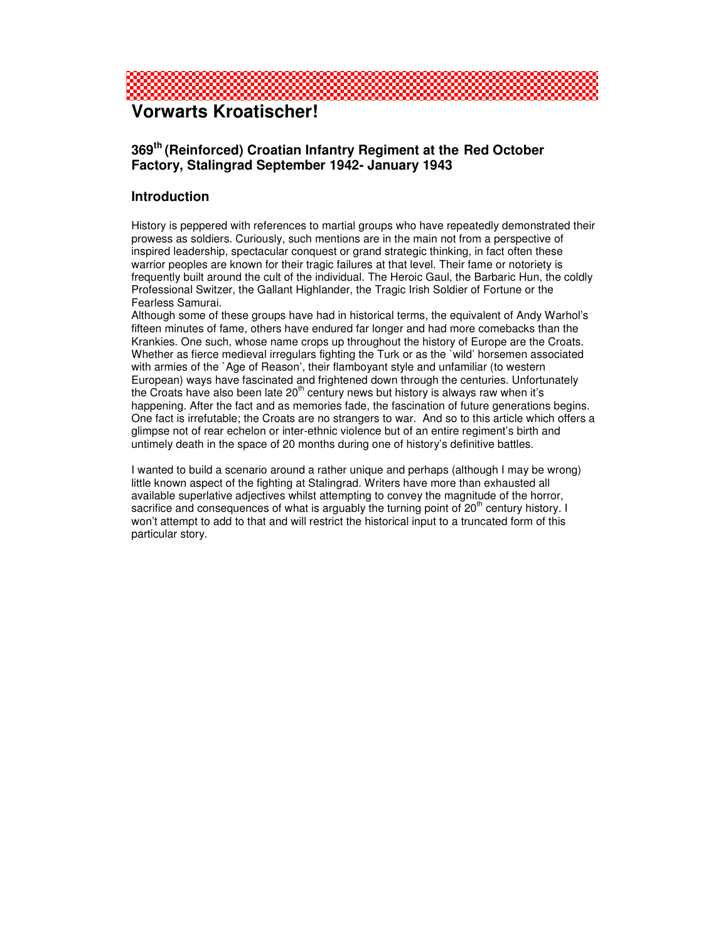

# **Vorwarts Kroatischer!**

### **369 th (Reinforced) Croatian Infantry Regiment at the Red October Factory, Stalingrad September 1942- January 1943**

### **Introduction**

History is peppered with references to martial groups who have repeatedly demonstrated their prowess as soldiers. Curiously, such mentions are in the main not from a perspective of inspired leadership, spectacular conquest or grand strategic thinking, in fact often these warrior peoples are known for their tragic failures at that level. Their fame or notoriety is frequently built around the cult of the individual. The Heroic Gaul, the Barbaric Hun, the coldly Professional Switzer, the Gallant Highlander, the Tragic Irish Soldier of Fortune or the Fearless Samurai.

Although some of these groups have had in historical terms, the equivalent of Andy Warhol's fifteen minutes of fame, others have endured far longer and had more comebacks than the Krankies. One such, whose name crops up throughout the history of Europe are the Croats. Whether as fierce medieval irregulars fighting the Turk or as the `wild' horsemen associated with armies of the `Age of Reason', their flamboyant style and unfamiliar (to western European) ways have fascinated and frightened down through the centuries. Unfortunately the Croats have also been late 20<sup>th</sup> century news but history is always raw when it's happening. After the fact and as memories fade, the fascination of future generations begins. One fact is irrefutable; the Croats are no strangers to war. And so to this article which offers a glimpse not of rear echelon or inter-ethnic violence but of an entire regiment's birth and untimely death in the space of 20 months during one of history's definitive battles.

I wanted to build a scenario around a rather unique and perhaps (although I may be wrong) little known aspect of the fighting at Stalingrad. Writers have more than exhausted all available superlative adjectives whilst attempting to convey the magnitude of the horror, sacrifice and consequences of what is arguably the turning point of  $20<sup>th</sup>$  century history. I won't attempt to add to that and will restrict the historical input to a truncated form of this particular story.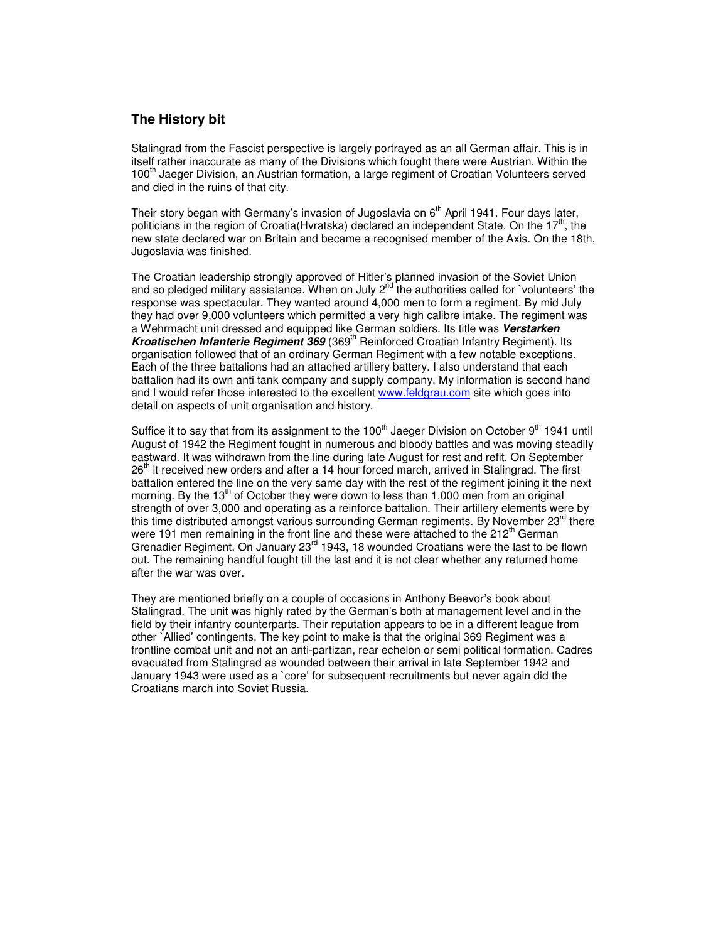#### **The History bit**

Stalingrad from the Fascist perspective is largely portrayed as an all German affair. This is in itself rather inaccurate as many of the Divisions which fought there were Austrian. Within the 100<sup>th</sup> Jaeger Division, an Austrian formation, a large regiment of Croatian Volunteers served and died in the ruins of that city.

Their story began with Germany's invasion of Jugoslavia on 6<sup>th</sup> April 1941. Four days later, politicians in the region of Croatia(Hvratska) declared an independent State. On the 17<sup>th</sup>, the new state declared war on Britain and became a recognised member of the Axis. On the 18th, Jugoslavia was finished.

The Croatian leadership strongly approved of Hitler's planned invasion of the Soviet Union and so pledged military assistance. When on July  $2^{nd}$  the authorities called for `volunteers' the response was spectacular. They wanted around 4,000 men to form a regiment. By mid July they had over 9,000 volunteers which permitted a very high calibre intake. The regiment was a Wehrmacht unit dressed and equipped like German soldiers. Its title was *Verstarken* Kroatischen Infanterie Regiment 369 (369<sup>th</sup> Reinforced Croatian Infantry Regiment). Its organisation followed that of an ordinary German Regiment with a few notable exceptions. Each of the three battalions had an attached artillery battery. I also understand that each battalion had its own anti tank company and supply company. My information is second hand and I would refer those interested to the excellent www.feldgrau.com site which goes into detail on aspects of unit organisation and history.

Suffice it to say that from its assignment to the 100<sup>th</sup> Jaeger Division on October 9<sup>th</sup> 1941 until August of 1942 the Regiment fought in numerous and bloody battles and was moving steadily eastward. It was withdrawn from the line during late August for rest and refit. On September 26<sup>th</sup> it received new orders and after a 14 hour forced march, arrived in Stalingrad. The first battalion entered the line on the very same day with the rest of the regiment joining it the next morning. By the 13<sup>th</sup> of October they were down to less than 1,000 men from an original strength of over 3,000 and operating as a reinforce battalion. Their artillery elements were by this time distributed amongst various surrounding German regiments. By November 23rd there were 191 men remaining in the front line and these were attached to the 212<sup>th</sup> German Grenadier Regiment. On January 23<sup>rd</sup> 1943, 18 wounded Croatians were the last to be flown out. The remaining handful fought till the last and it is not clear whether any returned home after the war was over.

They are mentioned briefly on a couple of occasions in Anthony Beevor's book about Stalingrad. The unit was highly rated by the German's both at management level and in the field by their infantry counterparts. Their reputation appears to be in a different league from other `Allied' contingents. The key point to make is that the original 369 Regiment was a frontline combat unit and not an anti-partizan, rear echelon or semi political formation. Cadres evacuated from Stalingrad as wounded between their arrival in late September 1942 and January 1943 were used as a `core' for subsequent recruitments but never again did the Croatians march into Soviet Russia.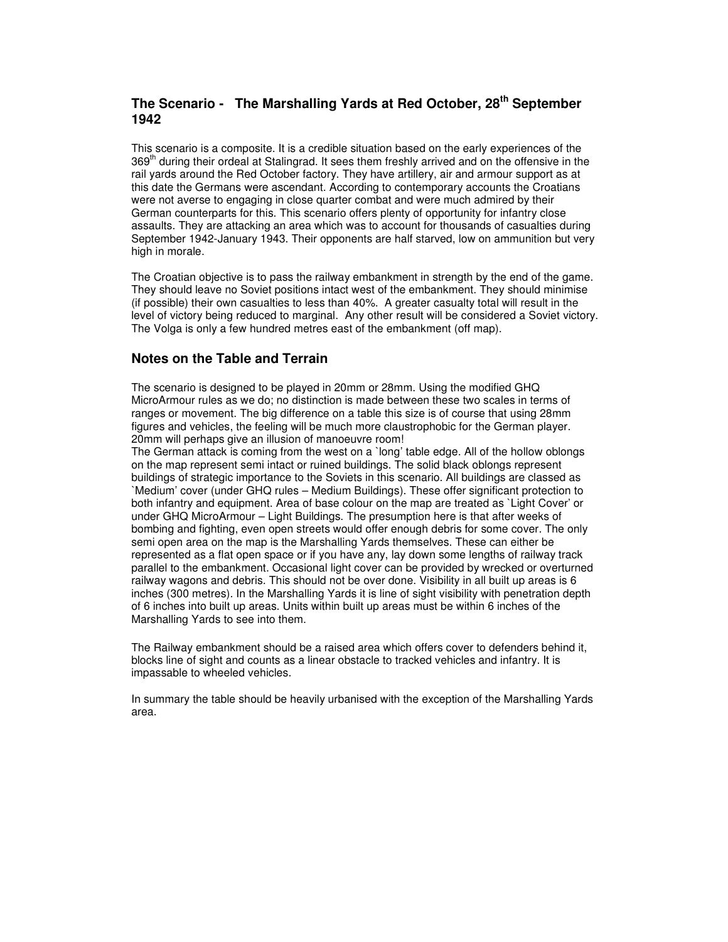### **The Scenario - The Marshalling Yards at Red October, 28 th September 1942**

This scenario is a composite. It is a credible situation based on the early experiences of the 369<sup>th</sup> during their ordeal at Stalingrad. It sees them freshly arrived and on the offensive in the rail yards around the Red October factory. They have artillery, air and armour support as at this date the Germans were ascendant. According to contemporary accounts the Croatians were not averse to engaging in close quarter combat and were much admired by their German counterparts for this. This scenario offers plenty of opportunity for infantry close assaults. They are attacking an area which was to account for thousands of casualties during September 1942-January 1943. Their opponents are half starved, low on ammunition but very high in morale.

The Croatian objective is to pass the railway embankment in strength by the end of the game. They should leave no Soviet positions intact west of the embankment. They should minimise (if possible) their own casualties to less than 40%. A greater casualty total will result in the level of victory being reduced to marginal. Any other result will be considered a Soviet victory. The Volga is only a few hundred metres east of the embankment (off map).

#### **Notes on the Table and Terrain**

The scenario is designed to be played in 20mm or 28mm. Using the modified GHQ MicroArmour rules as we do; no distinction is made between these two scales in terms of ranges or movement. The big difference on a table this size is of course that using 28mm figures and vehicles, the feeling will be much more claustrophobic for the German player. 20mm will perhaps give an illusion of manoeuvre room!

The German attack is coming from the west on a `long' table edge. All of the hollow oblongs on the map represent semi intact or ruined buildings. The solid black oblongs represent buildings of strategic importance to the Soviets in this scenario. All buildings are classed as `Medium' cover (under GHQ rules – Medium Buildings). These offer significant protection to both infantry and equipment. Area of base colour on the map are treated as `Light Cover' or under GHQ MicroArmour – Light Buildings. The presumption here is that after weeks of bombing and fighting, even open streets would offer enough debris for some cover. The only semi open area on the map is the Marshalling Yards themselves. These can either be represented as a flat open space or if you have any, lay down some lengths of railway track parallel to the embankment. Occasional light cover can be provided by wrecked or overturned railway wagons and debris. This should not be over done. Visibility in all built up areas is 6 inches (300 metres). In the Marshalling Yards it is line of sight visibility with penetration depth of 6 inches into built up areas. Units within built up areas must be within 6 inches of the Marshalling Yards to see into them.

The Railway embankment should be a raised area which offers cover to defenders behind it, blocks line of sight and counts as a linear obstacle to tracked vehicles and infantry. It is impassable to wheeled vehicles.

In summary the table should be heavily urbanised with the exception of the Marshalling Yards area.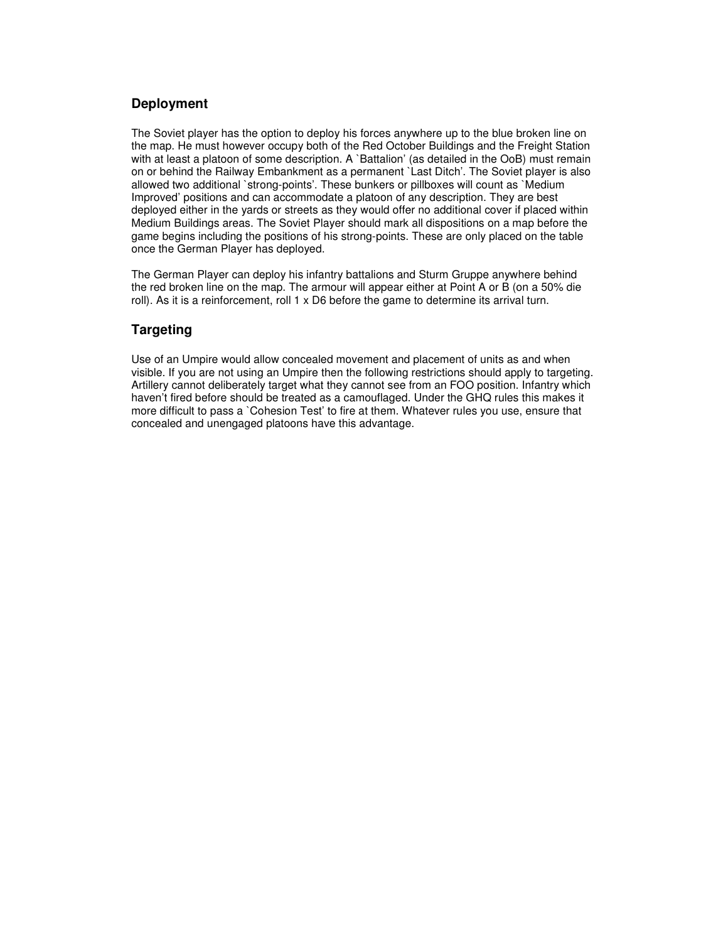### **Deployment**

The Soviet player has the option to deploy his forces anywhere up to the blue broken line on the map. He must however occupy both of the Red October Buildings and the Freight Station with at least a platoon of some description. A `Battalion' (as detailed in the OoB) must remain on or behind the Railway Embankment as a permanent `Last Ditch'. The Soviet player is also allowed two additional `strong-points'. These bunkers or pillboxes will count as `Medium Improved' positions and can accommodate a platoon of any description. They are best deployed either in the yards or streets as they would offer no additional cover if placed within Medium Buildings areas. The Soviet Player should mark all dispositions on a map before the game begins including the positions of his strong-points. These are only placed on the table once the German Player has deployed.

The German Player can deploy his infantry battalions and Sturm Gruppe anywhere behind the red broken line on the map. The armour will appear either at Point A or B (on a 50% die roll). As it is a reinforcement, roll 1 x D6 before the game to determine its arrival turn.

### **Targeting**

Use of an Umpire would allow concealed movement and placement of units as and when visible. If you are not using an Umpire then the following restrictions should apply to targeting. Artillery cannot deliberately target what they cannot see from an FOO position. Infantry which haven't fired before should be treated as a camouflaged. Under the GHQ rules this makes it more difficult to pass a `Cohesion Test' to fire at them. Whatever rules you use, ensure that concealed and unengaged platoons have this advantage.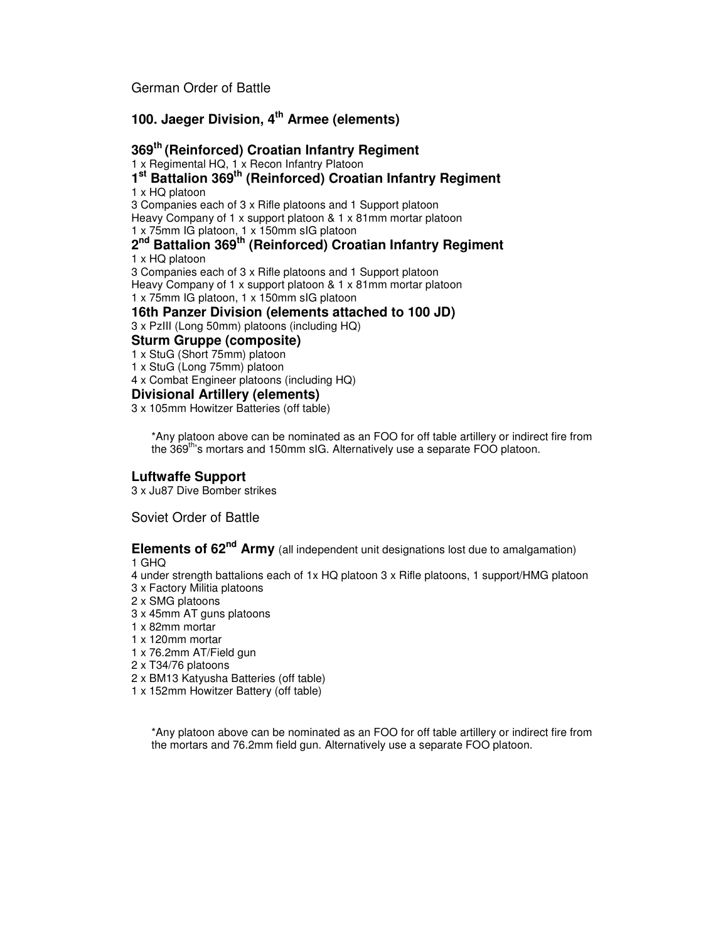German Order of Battle

### **100. Jaeger Division, 4 th Armee (elements)**

### **th (Reinforced) Croatian Infantry Regiment**

x Regimental HQ, 1 x Recon Infantry Platoon

 **st Battalion 369 th (Reinforced) Croatian Infantry Regiment** x HQ platoon Companies each of 3 x Rifle platoons and 1 Support platoon Heavy Company of 1 x support platoon & 1 x 81mm mortar platoon x 75mm IG platoon, 1 x 150mm sIG platoon

## **nd Battalion 369 th (Reinforced) Croatian Infantry Regiment**

x HQ platoon

 Companies each of 3 x Rifle platoons and 1 Support platoon Heavy Company of 1 x support platoon & 1 x 81mm mortar platoon x 75mm IG platoon, 1 x 150mm sIG platoon

**16th Panzer Division (elements attached to 100 JD)**

x PzIII (Long 50mm) platoons (including HQ)

### **Sturm Gruppe (composite)**

x StuG (Short 75mm) platoon

x StuG (Long 75mm) platoon

x Combat Engineer platoons (including HQ)

### **Divisional Artillery (elements)**

x 105mm Howitzer Batteries (off table)

\*Any platoon above can be nominated as an FOO for off table artillery or indirect fire from the 369<sup>th</sup>'s mortars and 150mm sIG. Alternatively use a separate FOO platoon.

### **Luftwaffe Support**

x Ju87 Dive Bomber strikes

Soviet Order of Battle

**Elements of 62<sup>nd</sup> Army** (all independent unit designations lost due to amalgamation) GHQ

 under strength battalions each of 1x HQ platoon 3 x Rifle platoons, 1 support/HMG platoon x Factory Militia platoons

- x SMG platoons
- x 45mm AT guns platoons
- x 82mm mortar
- x 120mm mortar
- x 76.2mm AT/Field gun
- x T34/76 platoons
- x BM13 Katyusha Batteries (off table)
- x 152mm Howitzer Battery (off table)

\*Any platoon above can be nominated as an FOO for off table artillery or indirect fire from the mortars and 76.2mm field gun. Alternatively use a separate FOO platoon.